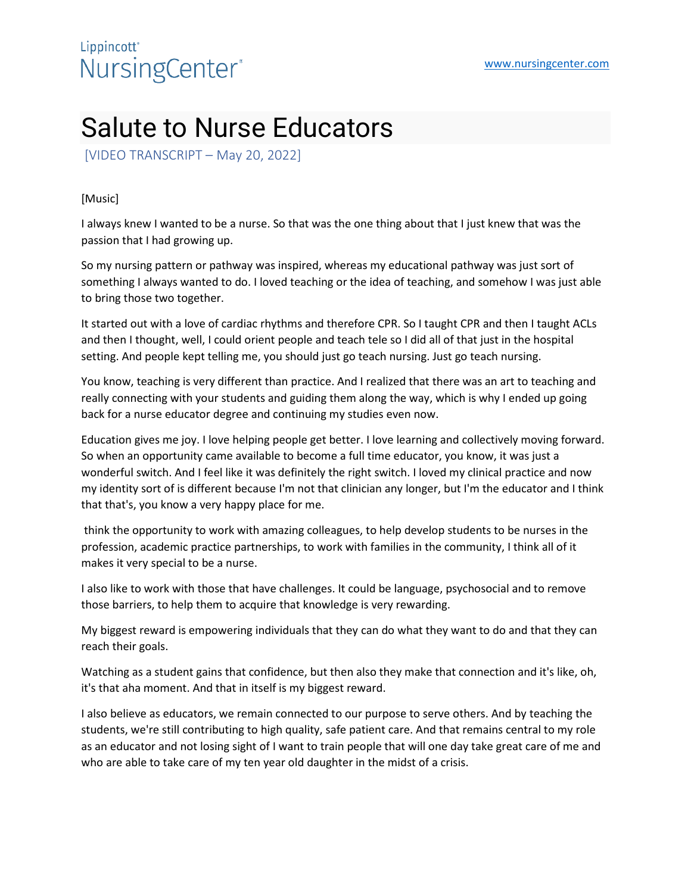## Lippincott<sup>\*</sup> NursingCenter®

## Salute to Nurse Educators

[VIDEO TRANSCRIPT – May 20, 2022]

## [Music]

I always knew I wanted to be a nurse. So that was the one thing about that I just knew that was the passion that I had growing up.

So my nursing pattern or pathway was inspired, whereas my educational pathway was just sort of something I always wanted to do. I loved teaching or the idea of teaching, and somehow I was just able to bring those two together.

It started out with a love of cardiac rhythms and therefore CPR. So I taught CPR and then I taught ACLs and then I thought, well, I could orient people and teach tele so I did all of that just in the hospital setting. And people kept telling me, you should just go teach nursing. Just go teach nursing.

You know, teaching is very different than practice. And I realized that there was an art to teaching and really connecting with your students and guiding them along the way, which is why I ended up going back for a nurse educator degree and continuing my studies even now.

Education gives me joy. I love helping people get better. I love learning and collectively moving forward. So when an opportunity came available to become a full time educator, you know, it was just a wonderful switch. And I feel like it was definitely the right switch. I loved my clinical practice and now my identity sort of is different because I'm not that clinician any longer, but I'm the educator and I think that that's, you know a very happy place for me.

think the opportunity to work with amazing colleagues, to help develop students to be nurses in the profession, academic practice partnerships, to work with families in the community, I think all of it makes it very special to be a nurse.

I also like to work with those that have challenges. It could be language, psychosocial and to remove those barriers, to help them to acquire that knowledge is very rewarding.

My biggest reward is empowering individuals that they can do what they want to do and that they can reach their goals.

Watching as a student gains that confidence, but then also they make that connection and it's like, oh, it's that aha moment. And that in itself is my biggest reward.

I also believe as educators, we remain connected to our purpose to serve others. And by teaching the students, we're still contributing to high quality, safe patient care. And that remains central to my role as an educator and not losing sight of I want to train people that will one day take great care of me and who are able to take care of my ten year old daughter in the midst of a crisis.